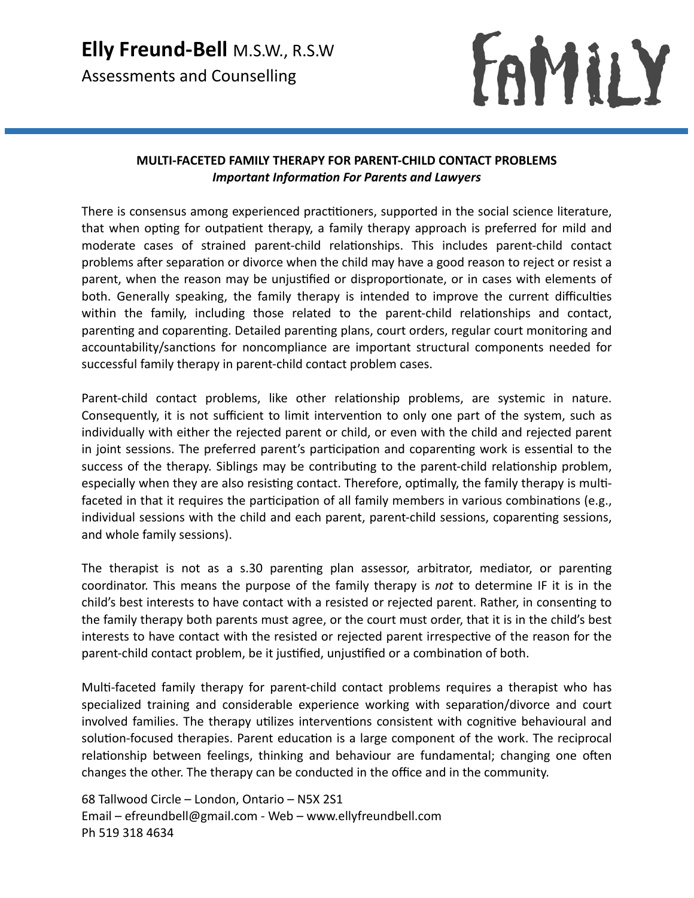## **Elly Freund-Bell** M.S.W., R.S.W Assessments and Counselling

FAMILY

## **MULTI-FACETED FAMILY THERAPY FOR PARENT-CHILD CONTACT PROBLEMS** *Important Information For Parents and Lawyers*

There is consensus among experienced practitioners, supported in the social science literature, that when opting for outpatient therapy, a family therapy approach is preferred for mild and moderate cases of strained parent-child relationships. This includes parent-child contact problems after separation or divorce when the child may have a good reason to reject or resist a parent, when the reason may be unjustified or disproportionate, or in cases with elements of both. Generally speaking, the family therapy is intended to improve the current difficulties within the family, including those related to the parent-child relationships and contact, parenting and coparenting. Detailed parenting plans, court orders, regular court monitoring and accountability/sanctions for noncompliance are important structural components needed for successful family therapy in parent-child contact problem cases.

Parent-child contact problems, like other relationship problems, are systemic in nature. Consequently, it is not sufficient to limit intervention to only one part of the system, such as individually with either the rejected parent or child, or even with the child and rejected parent in joint sessions. The preferred parent's participation and coparenting work is essential to the success of the therapy. Siblings may be contributing to the parent-child relationship problem, especially when they are also resisting contact. Therefore, optimally, the family therapy is multifaceted in that it requires the participation of all family members in various combinations (e.g., individual sessions with the child and each parent, parent-child sessions, coparenting sessions, and whole family sessions).

The therapist is not as a s.30 parenting plan assessor, arbitrator, mediator, or parenting coordinator. This means the purpose of the family therapy is *not* to determine IF it is in the child's best interests to have contact with a resisted or rejected parent. Rather, in consenting to the family therapy both parents must agree, or the court must order, that it is in the child's best interests to have contact with the resisted or rejected parent irrespective of the reason for the parent-child contact problem, be it justified, unjustified or a combination of both.

Multi-faceted family therapy for parent-child contact problems requires a therapist who has specialized training and considerable experience working with separation/divorce and court involved families. The therapy utilizes interventions consistent with cognitive behavioural and solution-focused therapies. Parent education is a large component of the work. The reciprocal relationship between feelings, thinking and behaviour are fundamental; changing one often changes the other. The therapy can be conducted in the office and in the community.

68 Tallwood Circle – London, Ontario – N5X 2S1 Email – efreundbell@gmail.com - Web – www.ellyfreundbell.com Ph 519 318 4634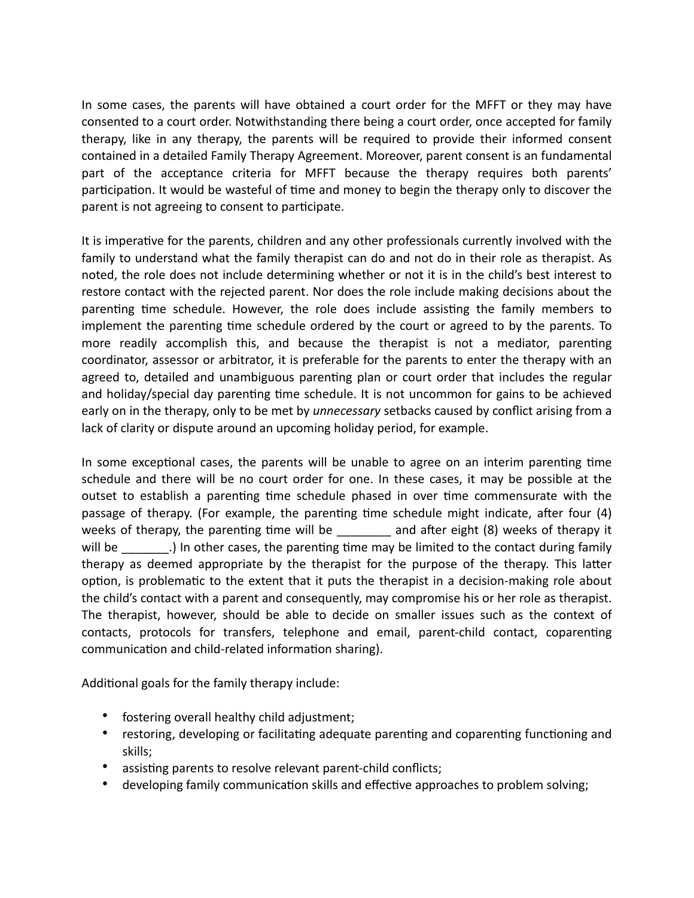In some cases, the parents will have obtained a court order for the MFFT or they may have consented to a court order. Notwithstanding there being a court order, once accepted for family therapy, like in any therapy, the parents will be required to provide their informed consent contained in a detailed Family Therapy Agreement. Moreover, parent consent is an fundamental part of the acceptance criteria for MFFT because the therapy requires both parents' participation. It would be wasteful of time and money to begin the therapy only to discover the parent is not agreeing to consent to participate.

It is imperative for the parents, children and any other professionals currently involved with the family to understand what the family therapist can do and not do in their role as therapist. As noted, the role does not include determining whether or not it is in the child's best interest to restore contact with the rejected parent. Nor does the role include making decisions about the parenting time schedule. However, the role does include assisting the family members to implement the parenting time schedule ordered by the court or agreed to by the parents. To more readily accomplish this, and because the therapist is not a mediator, parenting coordinator, assessor or arbitrator, it is preferable for the parents to enter the therapy with an agreed to, detailed and unambiguous parenting plan or court order that includes the regular and holiday/special day parenting time schedule. It is not uncommon for gains to be achieved early on in the therapy, only to be met by *unnecessary* setbacks caused by conflict arising from a lack of clarity or dispute around an upcoming holiday period, for example.

In some exceptional cases, the parents will be unable to agree on an interim parenting time schedule and there will be no court order for one. In these cases, it may be possible at the outset to establish a parenting time schedule phased in over time commensurate with the passage of therapy. (For example, the parenting time schedule might indicate, after four (4) weeks of therapy, the parenting time will be and after eight (8) weeks of therapy it will be  $\qquad \qquad$ .) In other cases, the parenting time may be limited to the contact during family therapy as deemed appropriate by the therapist for the purpose of the therapy. This latter option, is problematic to the extent that it puts the therapist in a decision-making role about the child's contact with a parent and consequently, may compromise his or her role as therapist. The therapist, however, should be able to decide on smaller issues such as the context of contacts, protocols for transfers, telephone and email, parent-child contact, coparenting communication and child-related information sharing).

Additional goals for the family therapy include:

- fostering overall healthy child adjustment;
- restoring, developing or facilitating adequate parenting and coparenting functioning and skills;
- assisting parents to resolve relevant parent-child conflicts;
- developing family communication skills and effective approaches to problem solving;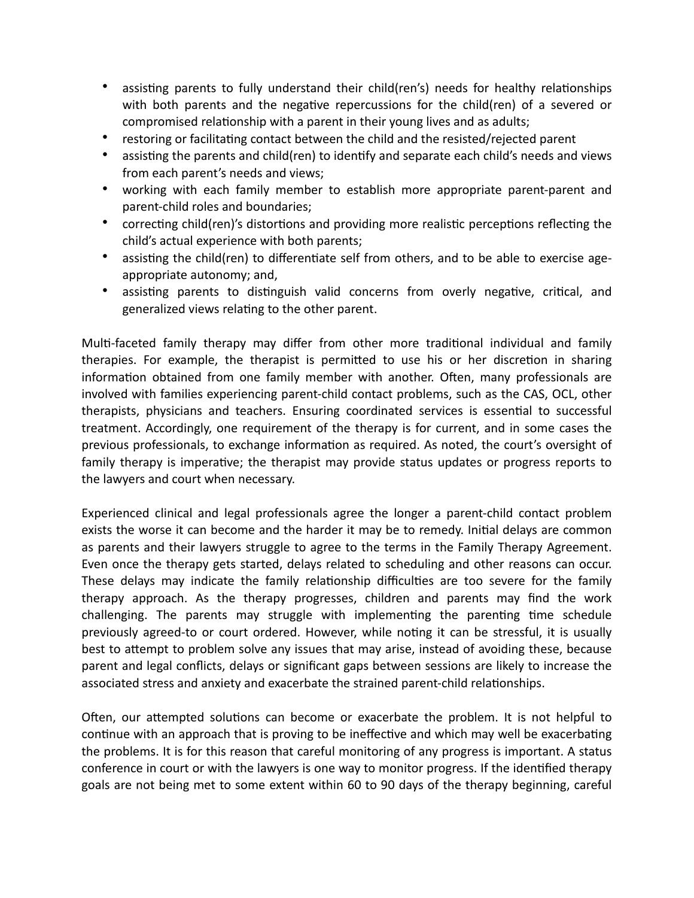- assisting parents to fully understand their child(ren's) needs for healthy relationships with both parents and the negative repercussions for the child(ren) of a severed or compromised relationship with a parent in their young lives and as adults;
- restoring or facilitating contact between the child and the resisted/rejected parent
- assisting the parents and child(ren) to identify and separate each child's needs and views from each parent's needs and views;
- working with each family member to establish more appropriate parent-parent and parent-child roles and boundaries;
- correcting child(ren)'s distortions and providing more realistic perceptions reflecting the child's actual experience with both parents;
- assisting the child(ren) to differentiate self from others, and to be able to exercise ageappropriate autonomy; and,
- assisting parents to distinguish valid concerns from overly negative, critical, and generalized views relating to the other parent.

Multi-faceted family therapy may differ from other more traditional individual and family therapies. For example, the therapist is permitted to use his or her discretion in sharing information obtained from one family member with another. Often, many professionals are involved with families experiencing parent-child contact problems, such as the CAS, OCL, other therapists, physicians and teachers. Ensuring coordinated services is essential to successful treatment. Accordingly, one requirement of the therapy is for current, and in some cases the previous professionals, to exchange information as required. As noted, the court's oversight of family therapy is imperative; the therapist may provide status updates or progress reports to the lawyers and court when necessary.

Experienced clinical and legal professionals agree the longer a parent-child contact problem exists the worse it can become and the harder it may be to remedy. Initial delays are common as parents and their lawyers struggle to agree to the terms in the Family Therapy Agreement. Even once the therapy gets started, delays related to scheduling and other reasons can occur. These delays may indicate the family relationship difficulties are too severe for the family therapy approach. As the therapy progresses, children and parents may find the work challenging. The parents may struggle with implementing the parenting time schedule previously agreed-to or court ordered. However, while noting it can be stressful, it is usually best to attempt to problem solve any issues that may arise, instead of avoiding these, because parent and legal conflicts, delays or significant gaps between sessions are likely to increase the associated stress and anxiety and exacerbate the strained parent-child relationships.

Often, our attempted solutions can become or exacerbate the problem. It is not helpful to continue with an approach that is proving to be ineffective and which may well be exacerbating the problems. It is for this reason that careful monitoring of any progress is important. A status conference in court or with the lawyers is one way to monitor progress. If the identified therapy goals are not being met to some extent within 60 to 90 days of the therapy beginning, careful